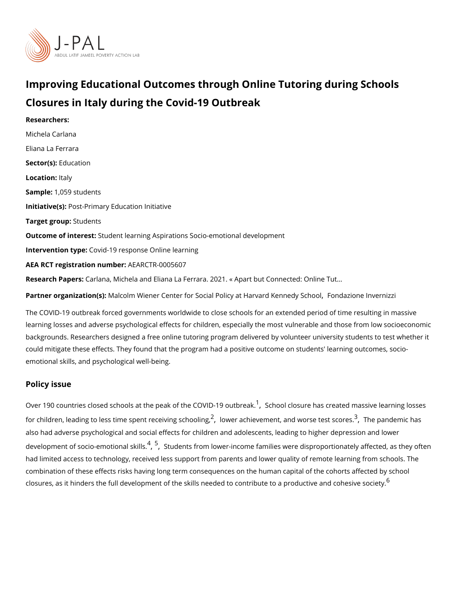# Improving Educational Outcomes through Online Tutoring du Closures in Italy during the Covid-19 Outbreak

Researchers: [Michela Ca](https://www.povertyactionlab.org/person/carlana)rlana [Eliana La F](https://www.povertyactionlab.org/person/la-ferrara)errara Sector([Educat](https://www.povertyactionlab.org/sector/education)ion Locatioht:aly Sample: 059 students Initiative Ps) st-Primary Education Initiative Target gro**Spudents** Outcome of inteSeusdent learning Aspirations Socio-emotional development Intervention  $t\mathcal{C}$  peid-19 response Online learning AEA RCT registration ArEuAnRbCeTR-0005607 Research Pa<sub>persana</sub>, Michela and Eliana La Ferrara. 2021. « Apart but Connected: Online Partner organizatiVicani (so) Im Wiener Center for Social Policy at HaFownadradz Koennen end we Snchlzozoil

The COVID-19 outbreak forced governments worldwide to close schools for an extended pe learning losses and adverse psychological effects for children, especially the most vulner backgrounds. Researchers designed a free online tutoring program delivered by volunteer could mitigate these effects. They found that the program had a positive outcome on stud emotional skills, and psychological well-being.

#### Policy issue

Over [1](#page-4-0)90 countries closed schools at the peak  $\partial f$  Shch  $\partial \infty$  VcllD suffeolution assive learning losses for children[,](#page-4-0) leading to less time spen $\widehat{\mathfrak t}$ , rlooweeivianghs ochous hang, and wor $\widehat{\mathfrak F}$ eTtheestpandemsic has also had adverse psychological and social effects for children and adolescents, leading to development of socio-em $\delta_t^f$   $\delta$  r $\delta$ atlu **denits** from lower-income families were disproportionately had limited access to technology, received less support from parents and lower quality of combination of these effects risks having long term consequences on the human capital of closures, as it hinders the full development of the skills needed to contrib<sup>[6](#page-4-0)</sup>ute to a produc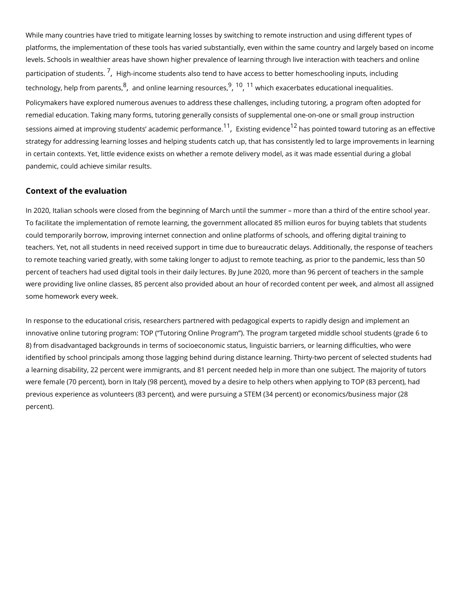While many countries have tried to mitigate learning losses by switching to remote instrue platforms, the implementation of these tools has varied substantially, even within the sam levels. Schools in wealthier areas have shown higher prevalence of learning through live participation of s<sup>[7](#page-4-0)</sup>t[,](#page-4-0)u**bleghi**sincome students also tend to have access to better homeschooling technology[,](#page-4-0) help fro $\frac{\theta}{\theta}$  padeonsine learning  $9,18,10$  $9,18,10$  $9,18,10$  $9,18,10$  when  $\theta$  exacerbates educational inequalities Policymakers have explored numerous avenues to address these challenges, including tut remedial education. Taking many forms, tutoring generally consists of supplemental one-o sessions aimed at improving students ac<sup>[1](#page-4-0)</sup>a[,](#page-4-0)demistipnegrfoov hod an mos pointed toward tutoring as an strategy for addressing learning losses and helping students catch up, that has consisten in certain contexts. Yet, little evidence exists on whether a remote delivery model, as it was made the essenti pandemic, could achieve similar results.

### Context of the evaluation

In 2020, Italian schools were closed from the beginning of March until the summer more To facilitate the implementation of remote learning, the government allocated 85 million e could temporarily borrow, improving internet connection and online platforms of schools, teachers. Yet, not all students in need received support in time due to bureaucratic delay to remote teaching varied greatly, with some taking longer to adjust to remote teaching, a percent of teachers had used digital tools in their daily lectures. By June 2020, more tha were providing live online classes, 85 percent also provided about an hour of recorded co some homework every week.

In response to the educational crisis, researchers partnered with pedagogical experts to innovative online tutoring program: TOP ( Tutoring Online Program ). The program targete 8) from disadvantaged backgrounds in terms of socioeconomic status, linguistic barriers, identified by school principals among those lagging behind during distance learning. Thirt a learning disability, 22 percent were immigrants, and 81 percent needed help in more tha were female (70 percent), born in Italy (98 percent), moved by a desire to help others wh previous experience as volunteers (83 percent), and were pursuing a STEM (34 percent) o percent).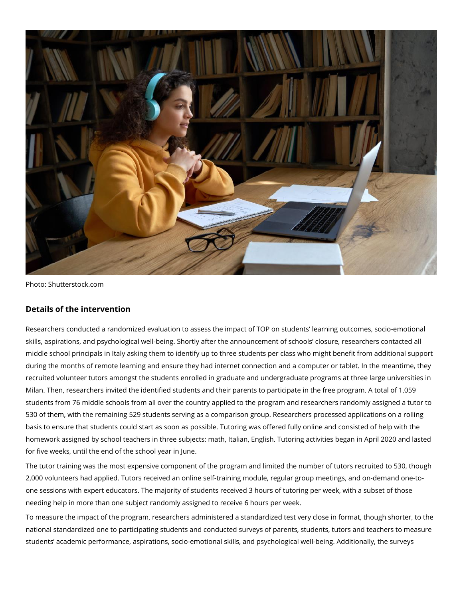

Photo: Shutterstock.com

## **Details of the intervention**

Researchers conducted a randomized evaluation to assess the impact of TOP on students' learning outcomes, socio-emotional skills, aspirations, and psychological well-being. Shortly after the announcement of schools' closure, researchers contacted all middle school principals in Italy asking them to identify up to three students per class who might benefit from additional support during the months of remote learning and ensure they had internet connection and a computer or tablet. In the meantime, they recruited volunteer tutors amongst the students enrolled in graduate and undergraduate programs at three large universities in Milan. Then, researchers invited the identified students and their parents to participate in the free program. A total of 1,059 students from 76 middle schools from all over the country applied to the program and researchers randomly assigned a tutor to 530 of them, with the remaining 529 students serving as a comparison group. Researchers processed applications on a rolling basis to ensure that students could start as soon as possible. Tutoring was offered fully online and consisted of help with the homework assigned by school teachers in three subjects: math, Italian, English. Tutoring activities began in April 2020 and lasted for five weeks, until the end of the school year in June.

The tutor training was the most expensive component of the program and limited the number of tutors recruited to 530, though 2,000 volunteers had applied. Tutors received an online self-training module, regular group meetings, and on-demand one-toone sessions with expert educators. The majority of students received 3 hours of tutoring per week, with a subset of those needing help in more than one subject randomly assigned to receive 6 hours per week.

To measure the impact of the program, researchers administered a standardized test very close in format, though shorter, to the national standardized one to participating students and conducted surveys of parents, students, tutors and teachers to measure students' academic performance, aspirations, socio-emotional skills, and psychological well-being. Additionally, the surveys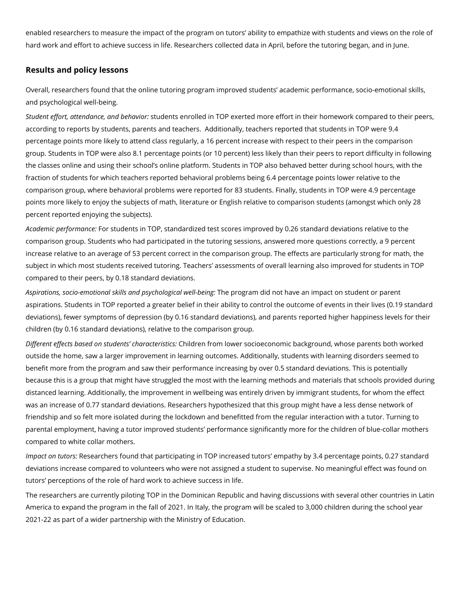enabled researchers to measure the impact of the program on tutors' ability to empathize with students and views on the role of hard work and effort to achieve success in life. Researchers collected data in April, before the tutoring began, and in June.

## **Results and policy lessons**

Overall, researchers found that the online tutoring program improved students' academic performance, socio-emotional skills, and psychological well-being.

*Student effort, attendance, and behavior:* students enrolled in TOP exerted more effort in their homework compared to their peers, according to reports by students, parents and teachers. Additionally, teachers reported that students in TOP were 9.4 percentage points more likely to attend class regularly, a 16 percent increase with respect to their peers in the comparison group. Students in TOP were also 8.1 percentage points (or 10 percent) less likely than their peers to report difficulty in following the classes online and using their school's online platform. Students in TOP also behaved better during school hours, with the fraction of students for which teachers reported behavioral problems being 6.4 percentage points lower relative to the comparison group, where behavioral problems were reported for 83 students. Finally, students in TOP were 4.9 percentage points more likely to enjoy the subjects of math, literature or English relative to comparison students (amongst which only 28 percent reported enjoying the subjects).

*Academic performance:* For students in TOP, standardized test scores improved by 0.26 standard deviations relative to the comparison group. Students who had participated in the tutoring sessions, answered more questions correctly, a 9 percent increase relative to an average of 53 percent correct in the comparison group. The effects are particularly strong for math, the subject in which most students received tutoring. Teachers' assessments of overall learning also improved for students in TOP compared to their peers, by 0.18 standard deviations.

*Aspirations, socio-emotional skills and psychological well-being:* The program did not have an impact on student or parent aspirations. Students in TOP reported a greater belief in their ability to control the outcome of events in their lives (0.19 standard deviations), fewer symptoms of depression (by 0.16 standard deviations), and parents reported higher happiness levels for their children (by 0.16 standard deviations), relative to the comparison group.

*Different effects based on students' characteristics:* Children from lower socioeconomic background, whose parents both worked outside the home, saw a larger improvement in learning outcomes. Additionally, students with learning disorders seemed to benefit more from the program and saw their performance increasing by over 0.5 standard deviations. This is potentially because this is a group that might have struggled the most with the learning methods and materials that schools provided during distanced learning. Additionally, the improvement in wellbeing was entirely driven by immigrant students, for whom the effect was an increase of 0.77 standard deviations. Researchers hypothesized that this group might have a less dense network of friendship and so felt more isolated during the lockdown and benefitted from the regular interaction with a tutor. Turning to parental employment, having a tutor improved students' performance significantly more for the children of blue-collar mothers compared to white collar mothers.

*Impact on tutors:* Researchers found that participating in TOP increased tutors' empathy by 3.4 percentage points, 0.27 standard deviations increase compared to volunteers who were not assigned a student to supervise. No meaningful effect was found on tutors' perceptions of the role of hard work to achieve success in life.

The researchers are currently piloting TOP in the Dominican Republic and having discussions with several other countries in Latin America to expand the program in the fall of 2021. In Italy, the program will be scaled to 3,000 children during the school year 2021-22 as part of a wider partnership with the Ministry of Education.